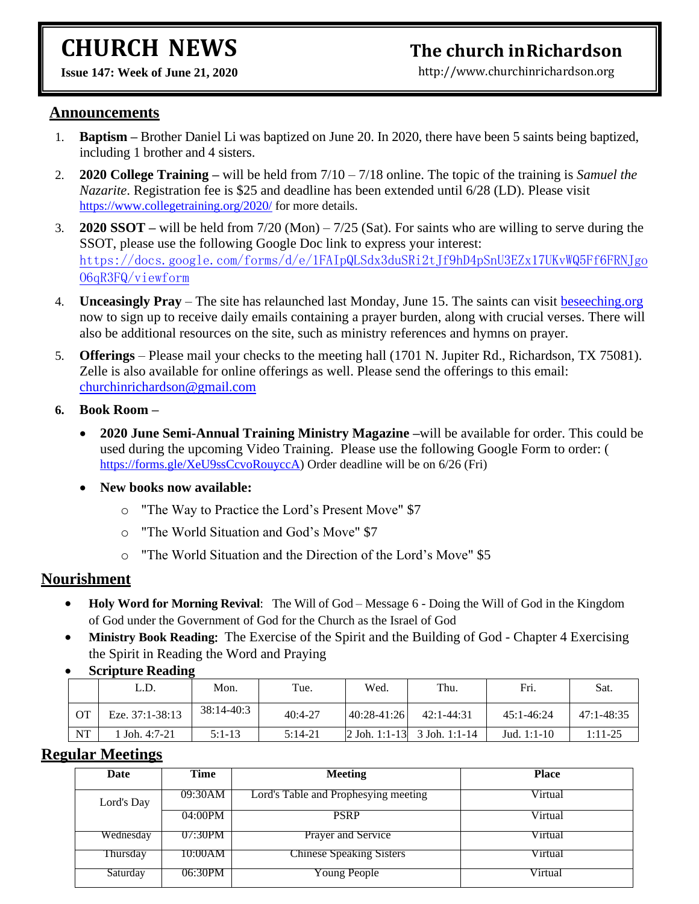# **CHURCH NEWS**

# **The church inRichardson**

**Issue 147: Week of June 21, 2020** 

[http://www.churchinrichardson.org](http://www.churchinrichardson.org/)

#### **Announcements**

- 1. **Baptism –** Brother Daniel Li was baptized on June 20. In 2020, there have been 5 saints being baptized, including 1 brother and 4 sisters.
- 2. **2020 College Training –** will be held from 7/10 7/18 online. The topic of the training is *Samuel the Nazarite*. Registration fee is \$25 and deadline has been extended until 6/28 (LD). Please visit <https://www.collegetraining.org/2020/> for more details.
- 3. **2020 SSOT –** will be held from 7/20 (Mon) 7/25 (Sat). For saints who are willing to serve during the SSOT, please use the following Google Doc link to express your interest: [https://docs.google.com/forms/d/e/1FAIpQLSdx3duSRi2tJf9hD4pSnU3EZx17UKvWQ5Ff6FRNJgo](https://docs.google.com/forms/d/e/1FAIpQLSdx3duSRi2tJf9hD4pSnU3EZx17UKvWQ5Ff6FRNJgoO6qR3FQ/viewform) [O6qR3FQ/viewform](https://docs.google.com/forms/d/e/1FAIpQLSdx3duSRi2tJf9hD4pSnU3EZx17UKvWQ5Ff6FRNJgoO6qR3FQ/viewform)
- 4. **Unceasingly Pray**  The site has relaunched last Monday, June 15. The saints can visit<beseeching.org> now to sign up to receive daily emails containing a prayer burden, along with crucial verses. There will also be additional resources on the site, such as ministry references and hymns on prayer.
- 5. **Offerings** Please mail your checks to the meeting hall (1701 N. Jupiter Rd., Richardson, TX 75081). Zelle is also available for online offerings as well. Please send the offerings to this email: [churchinrichardson@gmail.com](mailto:churchinrichardson@gmail.com)

#### **6. Book Room –**

- **2020 June Semi-Annual Training Ministry Magazine –**will be available for order. This could be used during the upcoming Video Training. Please use the following Google Form to order: ( [https://forms.gle/XeU9ssCcvoRouyccA\)](https://forms.gle/XeU9ssCcvoRouyccA) Order deadline will be on 6/26 (Fri)
- **New books now available:**
	- o "The Way to Practice the Lord's Present Move" \$7
	- o "The World Situation and God's Move" \$7
	- o "The World Situation and the Direction of the Lord's Move" \$5

#### **Nourishment**

- **Holy Word for Morning Revival**: The Will of God Message 6 Doing the Will of God in the Kingdom of God under the Government of God for the Church as the Israel of God
- **Ministry Book Reading:** The Exercise of the Spirit and the Building of God Chapter 4 Exercising the Spirit in Reading the Word and Praying

|           | L.D.            | Mon.       | Tue.      | Wed.            | Thu.                           | Fri.           | Sat.           |
|-----------|-----------------|------------|-----------|-----------------|--------------------------------|----------------|----------------|
| ОT        | Eze. 37:1-38:13 | 38:14-40:3 | $40:4-27$ | $ 40:28-41:26 $ | $42:1 - 44:31$                 | $45:1 - 46:24$ | $47:1 - 48:35$ |
| <b>NT</b> | Joh. $4:7-21$   | $5:1-13$   | $5:14-21$ |                 | $ 2$ Joh. 1:1-13 3 Joh. 1:1-14 | Jud. $1:1-10$  | $1:11-25$      |

• **Scripture Reading**

### **Regular Meetings**

| Date       | Time    | <b>Meeting</b>                       | <b>Place</b> |
|------------|---------|--------------------------------------|--------------|
| Lord's Day | 09:30AM | Lord's Table and Prophesying meeting | Virtual      |
|            | 04:00PM | <b>PSRP</b>                          | Virtual      |
| Wednesday  | 07:30PM | Prayer and Service                   | Virtual      |
| Thursday   | 10:00AM | <b>Chinese Speaking Sisters</b>      | Virtual      |
| Saturday   | 06:30PM | Young People                         | Virtual      |